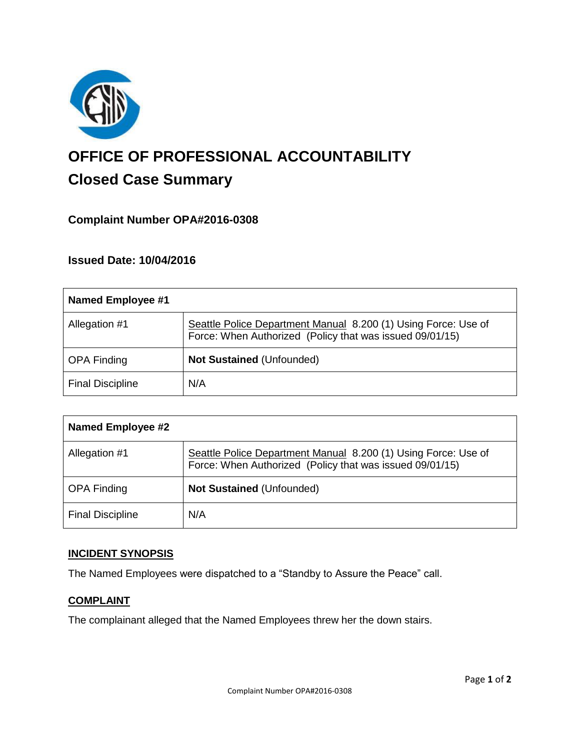

# **OFFICE OF PROFESSIONAL ACCOUNTABILITY Closed Case Summary**

## **Complaint Number OPA#2016-0308**

## **Issued Date: 10/04/2016**

| <b>Named Employee #1</b> |                                                                                                                            |
|--------------------------|----------------------------------------------------------------------------------------------------------------------------|
| Allegation #1            | Seattle Police Department Manual 8.200 (1) Using Force: Use of<br>Force: When Authorized (Policy that was issued 09/01/15) |
| <b>OPA Finding</b>       | <b>Not Sustained (Unfounded)</b>                                                                                           |
| <b>Final Discipline</b>  | N/A                                                                                                                        |

| <b>Named Employee #2</b> |                                                                                                                            |
|--------------------------|----------------------------------------------------------------------------------------------------------------------------|
| Allegation #1            | Seattle Police Department Manual 8.200 (1) Using Force: Use of<br>Force: When Authorized (Policy that was issued 09/01/15) |
| <b>OPA Finding</b>       | <b>Not Sustained (Unfounded)</b>                                                                                           |
| <b>Final Discipline</b>  | N/A                                                                                                                        |

## **INCIDENT SYNOPSIS**

The Named Employees were dispatched to a "Standby to Assure the Peace" call.

#### **COMPLAINT**

The complainant alleged that the Named Employees threw her the down stairs.